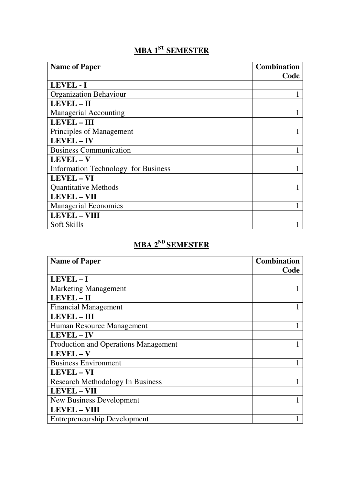## **MBA 1ST SEMESTER**

| <b>Name of Paper</b>                       | <b>Combination</b> |
|--------------------------------------------|--------------------|
|                                            | Code               |
| <b>LEVEL - I</b>                           |                    |
| <b>Organization Behaviour</b>              |                    |
| LEVEL-II                                   |                    |
| <b>Managerial Accounting</b>               |                    |
| <b>LEVEL - III</b>                         |                    |
| Principles of Management                   |                    |
| <b>LEVEL-IV</b>                            |                    |
| <b>Business Communication</b>              |                    |
| LEVEL - V                                  |                    |
| <b>Information Technology for Business</b> |                    |
| LEVEL - VI                                 |                    |
| <b>Quantitative Methods</b>                |                    |
| <b>LEVEL - VII</b>                         |                    |
| <b>Managerial Economics</b>                |                    |
| <b>LEVEL - VIII</b>                        |                    |
| Soft Skills                                |                    |

## **MBA 2ND SEMESTER**

| <b>Name of Paper</b>                    | <b>Combination</b> |
|-----------------------------------------|--------------------|
|                                         | Code               |
| LEVEL-I                                 |                    |
| <b>Marketing Management</b>             |                    |
| LEVEL - II                              |                    |
| <b>Financial Management</b>             |                    |
| <b>LEVEL - III</b>                      |                    |
| Human Resource Management               |                    |
| <b>LEVEL-IV</b>                         |                    |
| Production and Operations Management    |                    |
| LEVEL-V                                 |                    |
| <b>Business Environment</b>             |                    |
| <b>LEVEL - VI</b>                       |                    |
| <b>Research Methodology In Business</b> |                    |
| <b>LEVEL - VII</b>                      |                    |
| New Business Development                |                    |
| <b>LEVEL - VIII</b>                     |                    |
| <b>Entrepreneurship Development</b>     |                    |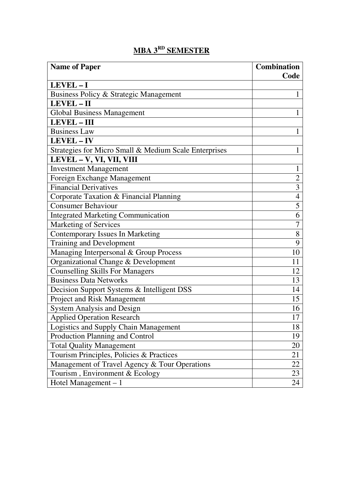| <b>Name of Paper</b>                                  | <b>Combination</b> |
|-------------------------------------------------------|--------------------|
|                                                       | Code               |
| LEVEL-I                                               |                    |
| Business Policy & Strategic Management                | 1                  |
| LEVEL - II                                            |                    |
| <b>Global Business Management</b>                     | 1                  |
| LEVEL - III                                           |                    |
| <b>Business Law</b>                                   |                    |
| <b>LEVEL-IV</b>                                       |                    |
| Strategies for Micro Small & Medium Scale Enterprises | 1                  |
| LEVEL - V, VI, VII, VIII                              |                    |
| <b>Investment Management</b>                          | 1                  |
| Foreign Exchange Management                           | $\overline{2}$     |
| <b>Financial Derivatives</b>                          | 3                  |
| Corporate Taxation & Financial Planning               | $\overline{4}$     |
| <b>Consumer Behaviour</b>                             | 5                  |
| <b>Integrated Marketing Communication</b>             | 6                  |
| <b>Marketing of Services</b>                          | 7                  |
| <b>Contemporary Issues In Marketing</b>               | 8                  |
| Training and Development                              | 9                  |
| Managing Interpersonal & Group Process                | 10                 |
| Organizational Change & Development                   | 11                 |
| <b>Counselling Skills For Managers</b>                | 12                 |
| <b>Business Data Networks</b>                         | 13                 |
| Decision Support Systems & Intelligent DSS            | 14                 |
| Project and Risk Management                           | 15                 |
| <b>System Analysis and Design</b>                     | 16                 |
| <b>Applied Operation Research</b>                     | 17                 |
| Logistics and Supply Chain Management                 | 18                 |
| Production Planning and Control                       | 19                 |
| <b>Total Quality Management</b>                       | 20                 |
| Tourism Principles, Policies & Practices              | 21                 |
| Management of Travel Agency & Tour Operations         | 22                 |
| Tourism, Environment & Ecology                        | 23                 |
| Hotel Management $-1$                                 | 24                 |

## **MBA 3RD SEMESTER**